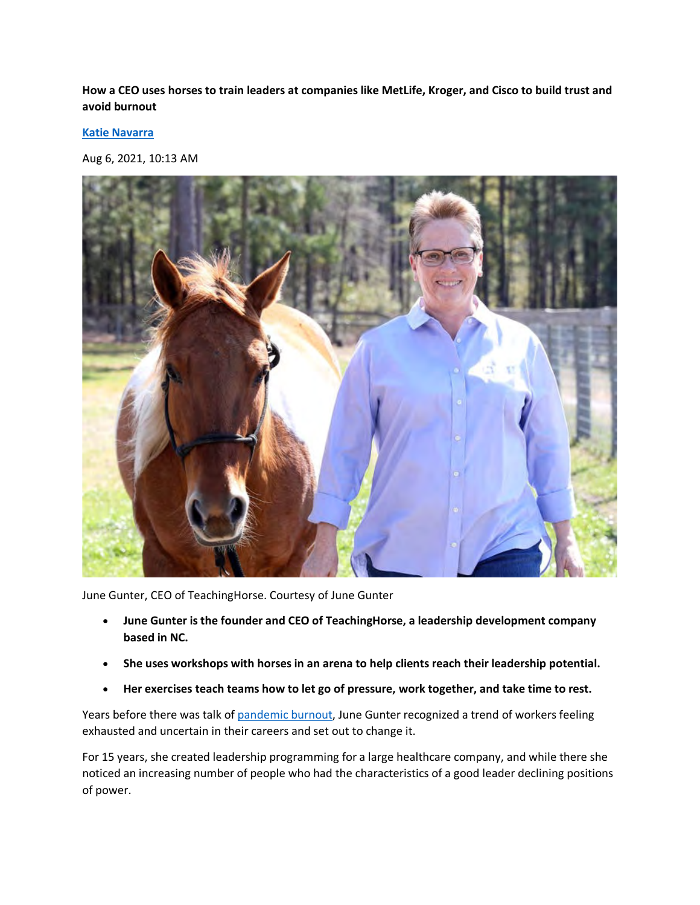**How a CEO uses horses to train leaders at companies like MetLife, Kroger, and Cisco to build trust and avoid burnout**

**[Katie Navarra](https://www.businessinsider.com/author/katie-navarra)** 

Aug 6, 2021, 10:13 AM



June Gunter, CEO of TeachingHorse. Courtesy of June Gunter

- **June Gunter is the founder and CEO of TeachingHorse, a leadership development company based in NC.**
- **She uses workshops with horses in an arena to help clients reach their leadership potential.**
- **Her exercises teach teams how to let go of pressure, work together, and take time to rest.**

Years before there was talk of [pandemic burnout,](https://www.businessinsider.com/the-us-workforce-is-feeling-more-burned-out-than-ever-2021-6) June Gunter recognized a trend of workers feeling exhausted and uncertain in their careers and set out to change it.

For 15 years, she created leadership programming for a large healthcare company, and while there she noticed an increasing number of people who had the characteristics of a good leader declining positions of power.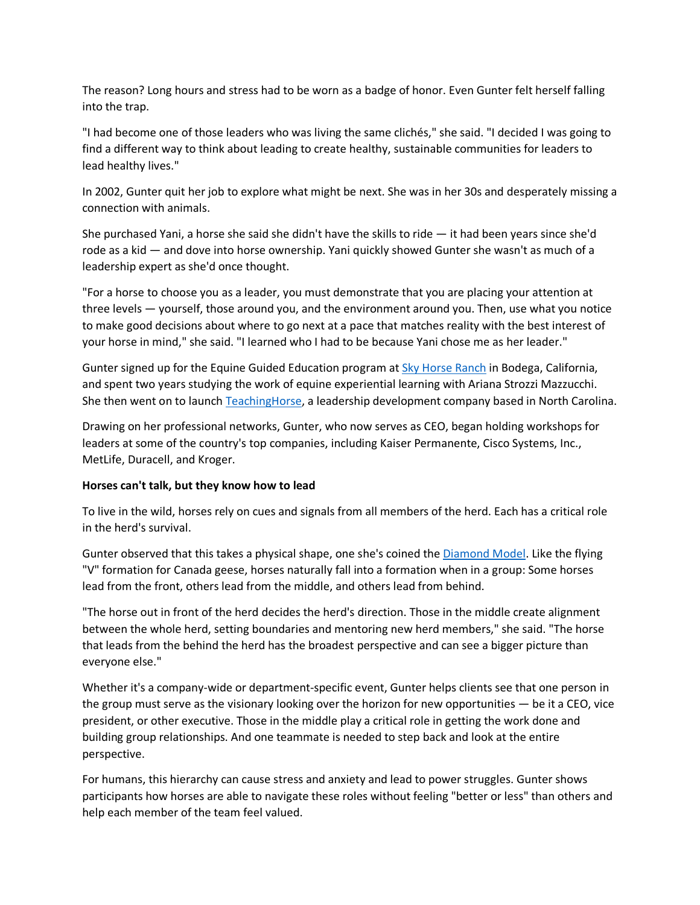The reason? Long hours and stress had to be worn as a badge of honor. Even Gunter felt herself falling into the trap.

"I had become one of those leaders who was living the same clichés," she said. "I decided I was going to find a different way to think about leading to create healthy, sustainable communities for leaders to lead healthy lives."

In 2002, Gunter quit her job to explore what might be next. She was in her 30s and desperately missing a connection with animals.

She purchased Yani, a horse she said she didn't have the skills to ride — it had been years since she'd rode as a kid — and dove into horse ownership. Yani quickly showed Gunter she wasn't as much of a leadership expert as she'd once thought.

"For a horse to choose you as a leader, you must demonstrate that you are placing your attention at three levels — yourself, those around you, and the environment around you. Then, use what you notice to make good decisions about where to go next at a pace that matches reality with the best interest of your horse in mind," she said. "I learned who I had to be because Yani chose me as her leader."

Gunter signed up for the Equine Guided Education program at [Sky Horse Ranch](https://www.skyhorseacademy.com/) in Bodega, California, and spent two years studying the work of equine experiential learning with Ariana Strozzi Mazzucchi. She then went on to launch [TeachingHorse,](https://teachinghorse.com/) a leadership development company based in North Carolina.

Drawing on her professional networks, Gunter, who now serves as CEO, began holding workshops for leaders at some of the country's top companies, including Kaiser Permanente, Cisco Systems, Inc., MetLife, Duracell, and Kroger.

## **Horses can't talk, but they know how to lead**

To live in the wild, horses rely on cues and signals from all members of the herd. Each has a critical role in the herd's survival.

Gunter observed that this takes a physical shape, one she's coined the [Diamond Model.](https://youtu.be/sx_8JkyWVhQ) Like the flying "V" formation for Canada geese, horses naturally fall into a formation when in a group: Some horses lead from the front, others lead from the middle, and others lead from behind.

"The horse out in front of the herd decides the herd's direction. Those in the middle create alignment between the whole herd, setting boundaries and mentoring new herd members," she said. "The horse that leads from the behind the herd has the broadest perspective and can see a bigger picture than everyone else."

Whether it's a company-wide or department-specific event, Gunter helps clients see that one person in the group must serve as the visionary looking over the horizon for new opportunities — be it a CEO, vice president, or other executive. Those in the middle play a critical role in getting the work done and building group relationships. And one teammate is needed to step back and look at the entire perspective.

For humans, this hierarchy can cause stress and anxiety and lead to power struggles. Gunter shows participants how horses are able to navigate these roles without feeling "better or less" than others and help each member of the team feel valued.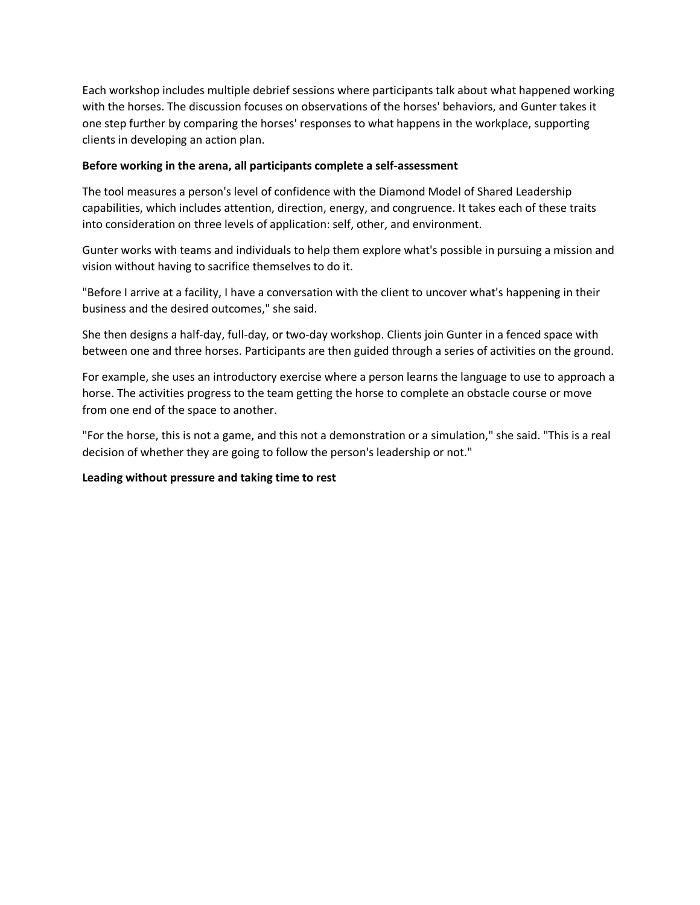Each workshop includes multiple debrief sessions where participants talk about what happened working with the horses. The discussion focuses on observations of the horses' behaviors, and Gunter takes it one step further by comparing the horses' responses to what happens in the workplace, supporting clients in developing an action plan.

## **Before working in the arena, all participants complete a self-assessment**

The tool measures a person's level of confidence with the Diamond Model of Shared Leadership capabilities, which includes attention, direction, energy, and congruence. It takes each of these traits into consideration on three levels of application: self, other, and environment.

Gunter works with teams and individuals to help them explore what's possible in pursuing a mission and vision without having to sacrifice themselves to do it.

"Before I arrive at a facility, I have a conversation with the client to uncover what's happening in their business and the desired outcomes," she said.

She then designs a half-day, full-day, or two-day workshop. Clients join Gunter in a fenced space with between one and three horses. Participants are then guided through a series of activities on the ground.

For example, she uses an introductory exercise where a person learns the language to use to approach a horse. The activities progress to the team getting the horse to complete an obstacle course or move from one end of the space to another.

"For the horse, this is not a game, and this not a demonstration or a simulation," she said. "This is a real decision of whether they are going to follow the person's leadership or not."

## **Leading without pressure and taking time to rest**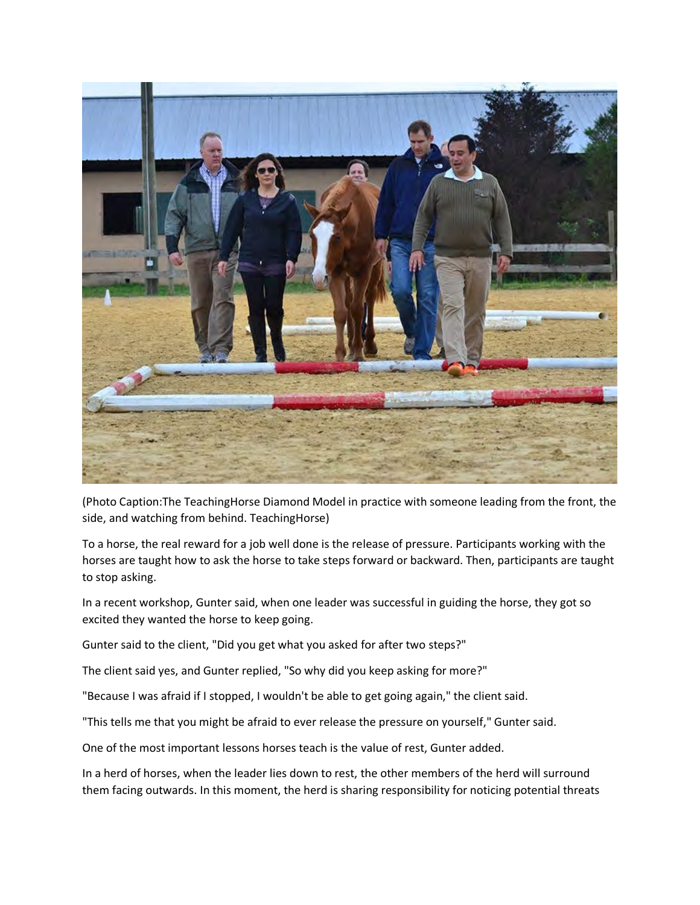

(Photo Caption:The TeachingHorse Diamond Model in practice with someone leading from the front, the side, and watching from behind. TeachingHorse)

To a horse, the real reward for a job well done is the release of pressure. Participants working with the horses are taught how to ask the horse to take steps forward or backward. Then, participants are taught to stop asking.

In a recent workshop, Gunter said, when one leader was successful in guiding the horse, they got so excited they wanted the horse to keep going.

Gunter said to the client, "Did you get what you asked for after two steps?"

The client said yes, and Gunter replied, "So why did you keep asking for more?"

"Because I was afraid if I stopped, I wouldn't be able to get going again," the client said.

"This tells me that you might be afraid to ever release the pressure on yourself," Gunter said.

One of the most important lessons horses teach is the value of rest, Gunter added.

In a herd of horses, when the leader lies down to rest, the other members of the herd will surround them facing outwards. In this moment, the herd is sharing responsibility for noticing potential threats